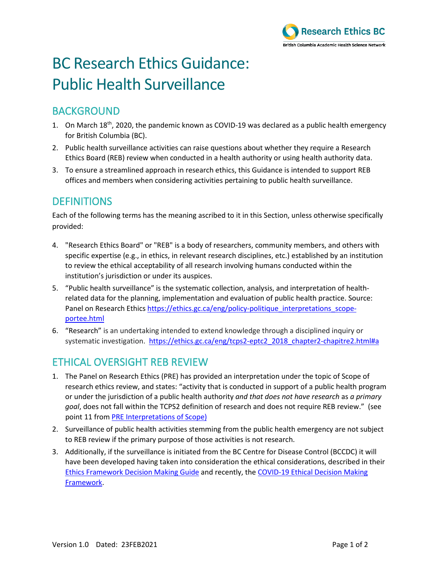

# BC Research Ethics Guidance: Public Health Surveillance

## BACKGROUND

- 1. On March 18<sup>th</sup>, 2020, the pandemic known as COVID-19 was declared as a public health emergency for British Columbia (BC).
- 2. Public health surveillance activities can raise questions about whether they require a Research Ethics Board (REB) review when conducted in a health authority or using health authority data.
- 3. To ensure a streamlined approach in research ethics, this Guidance is intended to support REB offices and members when considering activities pertaining to public health surveillance.

### **DEFINITIONS**

Each of the following terms has the meaning ascribed to it in this Section, unless otherwise specifically provided:

- 4. "Research Ethics Board" or "REB" is a body of researchers, community members, and others with specific expertise (e.g., in ethics, in relevant research disciplines, etc.) established by an institution to review the ethical acceptability of all research involving humans conducted within the institution's jurisdiction or under its auspices.
- 5. "Public health surveillance" is the systematic collection, analysis, and interpretation of healthrelated data for the planning, implementation and evaluation of public health practice. Source: Panel on Research Ethics https://ethics.gc.ca/eng/policy-politique interpretations scope[portee.html](https://ethics.gc.ca/eng/policy-politique_interpretations_scope-portee.html)
- 6. "Research" is an undertaking intended to extend knowledge through a disciplined inquiry or systematic investigation. [https://ethics.gc.ca/eng/tcps2-eptc2\\_2018\\_chapter2-chapitre2.html#a](https://ethics.gc.ca/eng/tcps2-eptc2_2018_chapter2-chapitre2.html#a)

## ETHICAL OVERSIGHT REB REVIEW

- 1. The Panel on Research Ethics (PRE) has provided an interpretation under the topic of Scope of research ethics review, and states: "activity that is conducted in support of a public health program or under the jurisdiction of a public health authority *and that does not have research* as *a primary goal*, does not fall within the TCPS2 definition of research and does not require REB review." (see point 11 from [PRE Interpretations of Scope\)](https://ethics.gc.ca/eng/policy-politique_interpretations_scope-portee.html)
- 2. Surveillance of public health activities stemming from the public health emergency are not subject to REB review if the primary purpose of those activities is not research.
- 3. Additionally, if the surveillance is initiated from the BC Centre for Disease Control (BCCDC) it will have been developed having taken into consideration the ethical considerations, described in their [Ethics Framework Decision Making Guide](http://www.bccdc.ca/resource-gallery/Documents/Guidelines%20and%20Forms/Guidelines%20and%20Manuals/BCCDC_Ethics_Framework_Decision_Making_Guide.pdf) and recently, th[e COVID-19 Ethical Decision Making](http://www.bccdc.ca/Health-Professionals-Site/Documents/COVID-19_Ethical_Decision_Making_Framework.pdf)  [Framework.](http://www.bccdc.ca/Health-Professionals-Site/Documents/COVID-19_Ethical_Decision_Making_Framework.pdf)